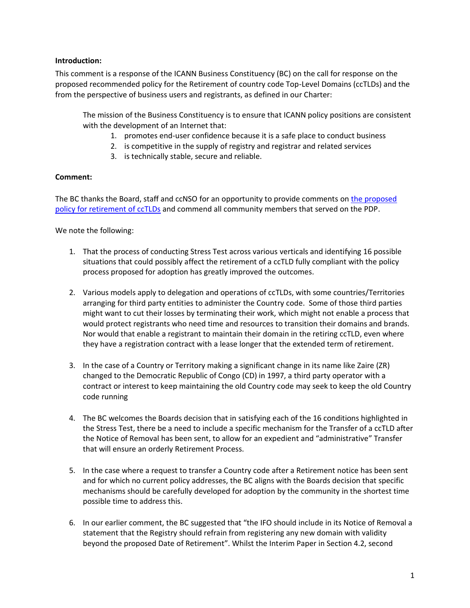## **Introduction:**

This comment is a response of the ICANN Business Constituency (BC) on the call for response on the proposed recommended policy for the Retirement of country code Top-Level Domains (ccTLDs) and the from the perspective of business users and registrants, as defined in our Charter:

The mission of the Business Constituency is to ensure that ICANN policy positions are consistent with the development of an Internet that:

- 1. promotes end-user confidence because it is a safe place to conduct business
- 2. is competitive in the supply of registry and registrar and related services
- 3. is technically stable, secure and reliable.

## **Comment:**

The BC thanks the Board, staff and ccNSO for an opportunity to provide comments on the proposed policy for [retirement of ccTLDs](https://www.icann.org/en/public-comment/proceeding/ccnso-proposed-policy-on-the-retirement-of-cctlds-22-11-2021) and commend all community members that served on the PDP.

We note the following:

- 1. That the process of conducting Stress Test across various verticals and identifying 16 possible situations that could possibly affect the retirement of a ccTLD fully compliant with the policy process proposed for adoption has greatly improved the outcomes.
- 2. Various models apply to delegation and operations of ccTLDs, with some countries/Territories arranging for third party entities to administer the Country code. Some of those third parties might want to cut their losses by terminating their work, which might not enable a process that would protect registrants who need time and resources to transition their domains and brands. Nor would that enable a registrant to maintain their domain in the retiring ccTLD, even where they have a registration contract with a lease longer that the extended term of retirement.
- 3. In the case of a Country or Territory making a significant change in its name like Zaire (ZR) changed to the Democratic Republic of Congo (CD) in 1997, a third party operator with a contract or interest to keep maintaining the old Country code may seek to keep the old Country code running
- 4. The BC welcomes the Boards decision that in satisfying each of the 16 conditions highlighted in the Stress Test, there be a need to include a specific mechanism for the Transfer of a ccTLD after the Notice of Removal has been sent, to allow for an expedient and "administrative" Transfer that will ensure an orderly Retirement Process.
- 5. In the case where a request to transfer a Country code after a Retirement notice has been sent and for which no current policy addresses, the BC aligns with the Boards decision that specific mechanisms should be carefully developed for adoption by the community in the shortest time possible time to address this.
- 6. In our earlier comment, the BC suggested that "the IFO should include in its Notice of Removal a statement that the Registry should refrain from registering any new domain with validity beyond the proposed Date of Retirement". Whilst the Interim Paper in Section 4.2, second